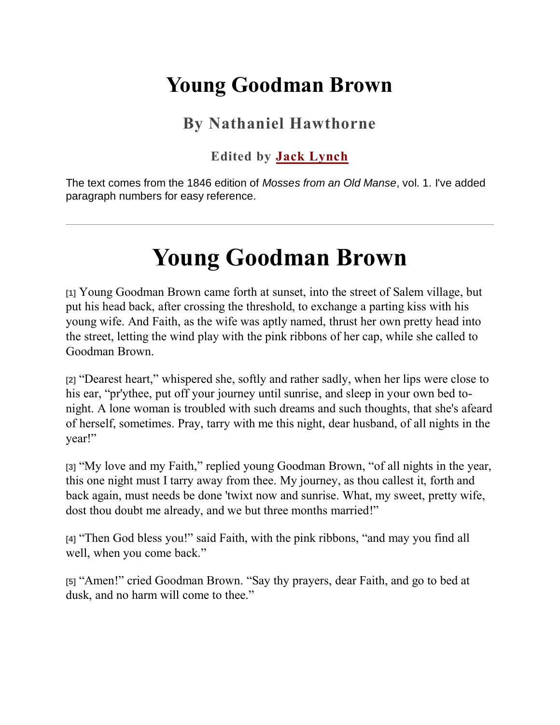## **Young Goodman Brown**

### **By Nathaniel Hawthorne**

#### **Edited by [Jack Lynch](http://jacklynch.net/)**

The text comes from the 1846 edition of *Mosses from an Old Manse*, vol. 1. I've added paragraph numbers for easy reference.

# **Young Goodman Brown**

**[1]** Young Goodman Brown came forth at sunset, into the street of Salem village, but put his head back, after crossing the threshold, to exchange a parting kiss with his young wife. And Faith, as the wife was aptly named, thrust her own pretty head into the street, letting the wind play with the pink ribbons of her cap, while she called to Goodman Brown.

**[2]** "Dearest heart," whispered she, softly and rather sadly, when her lips were close to his ear, "pr'ythee, put off your journey until sunrise, and sleep in your own bed tonight. A lone woman is troubled with such dreams and such thoughts, that she's afeard of herself, sometimes. Pray, tarry with me this night, dear husband, of all nights in the year!"

**[3]** "My love and my Faith," replied young Goodman Brown, "of all nights in the year, this one night must I tarry away from thee. My journey, as thou callest it, forth and back again, must needs be done 'twixt now and sunrise. What, my sweet, pretty wife, dost thou doubt me already, and we but three months married!"

**[4]** "Then God bless you!" said Faith, with the pink ribbons, "and may you find all well, when you come back."

**[5]** "Amen!" cried Goodman Brown. "Say thy prayers, dear Faith, and go to bed at dusk, and no harm will come to thee."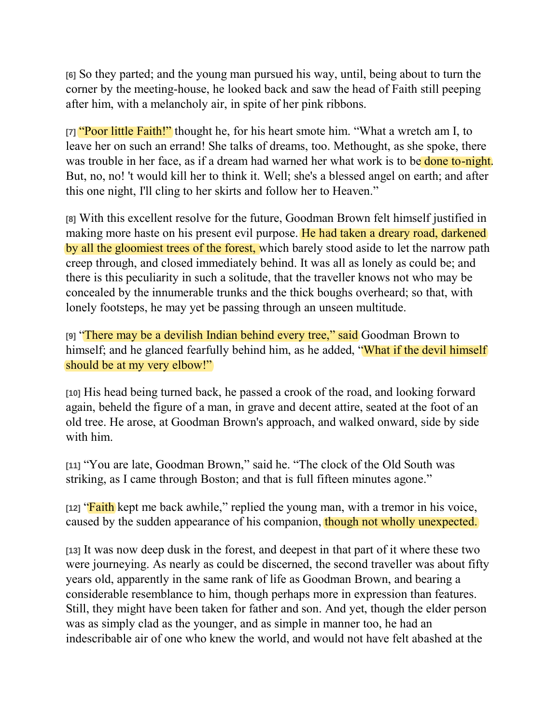**[6]** So they parted; and the young man pursued his way, until, being about to turn the corner by the meeting-house, he looked back and saw the head of Faith still peeping after him, with a melancholy air, in spite of her pink ribbons.

**[7]** "Poor little Faith!" thought he, for his heart smote him. "What a wretch am I, to leave her on such an errand! She talks of dreams, too. Methought, as she spoke, there was trouble in her face, as if a dream had warned her what work is to be **done to-night**. But, no, no! 't would kill her to think it. Well; she's a blessed angel on earth; and after this one night, I'll cling to her skirts and follow her to Heaven."

**[8]** With this excellent resolve for the future, Goodman Brown felt himself justified in making more haste on his present evil purpose. He had taken a dreary road, darkened by all the gloomiest trees of the forest, which barely stood aside to let the narrow path creep through, and closed immediately behind. It was all as lonely as could be; and there is this peculiarity in such a solitude, that the traveller knows not who may be concealed by the innumerable trunks and the thick boughs overheard; so that, with lonely footsteps, he may yet be passing through an unseen multitude.

**[9]** "There may be a devilish Indian behind every tree," said Goodman Brown to himself; and he glanced fearfully behind him, as he added, "What if the devil himself" should be at my very elbow!"

**[10]** His head being turned back, he passed a crook of the road, and looking forward again, beheld the figure of a man, in grave and decent attire, seated at the foot of an old tree. He arose, at Goodman Brown's approach, and walked onward, side by side with him.

**[11]** "You are late, Goodman Brown," said he. "The clock of the Old South was striking, as I came through Boston; and that is full fifteen minutes agone."

**[12]** "Faith kept me back awhile," replied the young man, with a tremor in his voice, caused by the sudden appearance of his companion, though not wholly unexpected.

**[13]** It was now deep dusk in the forest, and deepest in that part of it where these two were journeying. As nearly as could be discerned, the second traveller was about fifty years old, apparently in the same rank of life as Goodman Brown, and bearing a considerable resemblance to him, though perhaps more in expression than features. Still, they might have been taken for father and son. And yet, though the elder person was as simply clad as the younger, and as simple in manner too, he had an indescribable air of one who knew the world, and would not have felt abashed at the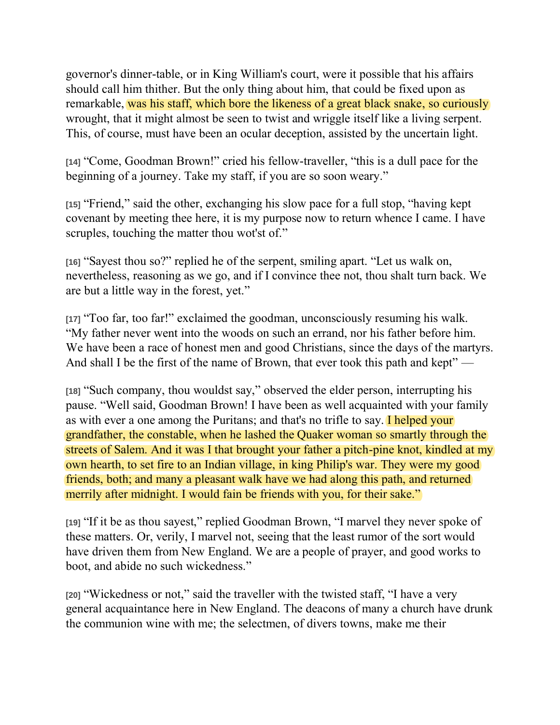governor's dinner-table, or in King William's court, were it possible that his affairs should call him thither. But the only thing about him, that could be fixed upon as remarkable, was his staff, which bore the likeness of a great black snake, so curiously wrought, that it might almost be seen to twist and wriggle itself like a living serpent. This, of course, must have been an ocular deception, assisted by the uncertain light.

**[14]** "Come, Goodman Brown!" cried his fellow-traveller, "this is a dull pace for the beginning of a journey. Take my staff, if you are so soon weary."

**[15]** "Friend," said the other, exchanging his slow pace for a full stop, "having kept covenant by meeting thee here, it is my purpose now to return whence I came. I have scruples, touching the matter thou wot'st of."

**[16]** "Sayest thou so?" replied he of the serpent, smiling apart. "Let us walk on, nevertheless, reasoning as we go, and if I convince thee not, thou shalt turn back. We are but a little way in the forest, yet."

**[17]** "Too far, too far!" exclaimed the goodman, unconsciously resuming his walk. "My father never went into the woods on such an errand, nor his father before him. We have been a race of honest men and good Christians, since the days of the martyrs. And shall I be the first of the name of Brown, that ever took this path and kept" —

**[18]** "Such company, thou wouldst say," observed the elder person, interrupting his pause. "Well said, Goodman Brown! I have been as well acquainted with your family as with ever a one among the Puritans; and that's no trifle to say. I helped your grandfather, the constable, when he lashed the Quaker woman so smartly through the streets of Salem. And it was I that brought your father a pitch-pine knot, kindled at my own hearth, to set fire to an Indian village, in king Philip's war. They were my good friends, both; and many a pleasant walk have we had along this path, and returned merrily after midnight. I would fain be friends with you, for their sake."

**[19]** "If it be as thou sayest," replied Goodman Brown, "I marvel they never spoke of these matters. Or, verily, I marvel not, seeing that the least rumor of the sort would have driven them from New England. We are a people of prayer, and good works to boot, and abide no such wickedness."

**[20]** "Wickedness or not," said the traveller with the twisted staff, "I have a very general acquaintance here in New England. The deacons of many a church have drunk the communion wine with me; the selectmen, of divers towns, make me their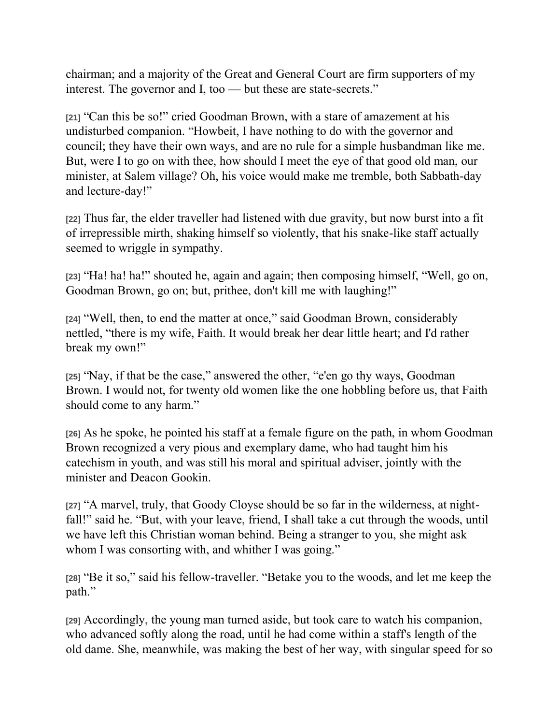chairman; and a majority of the Great and General Court are firm supporters of my interest. The governor and I, too — but these are state-secrets."

**[21]** "Can this be so!" cried Goodman Brown, with a stare of amazement at his undisturbed companion. "Howbeit, I have nothing to do with the governor and council; they have their own ways, and are no rule for a simple husbandman like me. But, were I to go on with thee, how should I meet the eye of that good old man, our minister, at Salem village? Oh, his voice would make me tremble, both Sabbath-day and lecture-day!"

**[22]** Thus far, the elder traveller had listened with due gravity, but now burst into a fit of irrepressible mirth, shaking himself so violently, that his snake-like staff actually seemed to wriggle in sympathy.

**[23]** "Ha! ha! ha!" shouted he, again and again; then composing himself, "Well, go on, Goodman Brown, go on; but, prithee, don't kill me with laughing!"

**[24]** "Well, then, to end the matter at once," said Goodman Brown, considerably nettled, "there is my wife, Faith. It would break her dear little heart; and I'd rather break my own!"

**[25]** "Nay, if that be the case," answered the other, "e'en go thy ways, Goodman Brown. I would not, for twenty old women like the one hobbling before us, that Faith should come to any harm."

**[26]** As he spoke, he pointed his staff at a female figure on the path, in whom Goodman Brown recognized a very pious and exemplary dame, who had taught him his catechism in youth, and was still his moral and spiritual adviser, jointly with the minister and Deacon Gookin.

**[27]** "A marvel, truly, that Goody Cloyse should be so far in the wilderness, at nightfall!" said he. "But, with your leave, friend, I shall take a cut through the woods, until we have left this Christian woman behind. Being a stranger to you, she might ask whom I was consorting with, and whither I was going."

**[28]** "Be it so," said his fellow-traveller. "Betake you to the woods, and let me keep the path."

**[29]** Accordingly, the young man turned aside, but took care to watch his companion, who advanced softly along the road, until he had come within a staff's length of the old dame. She, meanwhile, was making the best of her way, with singular speed for so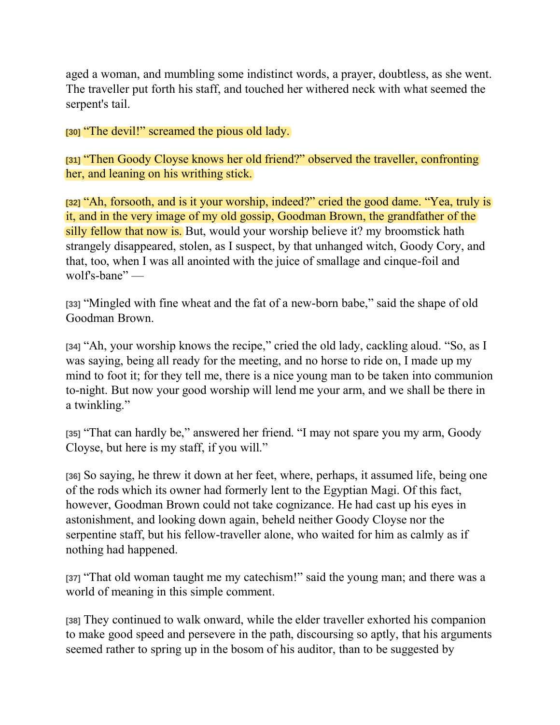aged a woman, and mumbling some indistinct words, a prayer, doubtless, as she went. The traveller put forth his staff, and touched her withered neck with what seemed the serpent's tail.

**[30]** "The devil!" screamed the pious old lady.

**[31]** "Then Goody Cloyse knows her old friend?" observed the traveller, confronting her, and leaning on his writhing stick.

**[32]** "Ah, forsooth, and is it your worship, indeed?" cried the good dame. "Yea, truly is it, and in the very image of my old gossip, Goodman Brown, the grandfather of the silly fellow that now is. But, would your worship believe it? my broomstick hath strangely disappeared, stolen, as I suspect, by that unhanged witch, Goody Cory, and that, too, when I was all anointed with the juice of smallage and cinque-foil and wolf's-bane" —

**[33]** "Mingled with fine wheat and the fat of a new-born babe," said the shape of old Goodman Brown.

**[34]** "Ah, your worship knows the recipe," cried the old lady, cackling aloud. "So, as I was saying, being all ready for the meeting, and no horse to ride on, I made up my mind to foot it; for they tell me, there is a nice young man to be taken into communion to-night. But now your good worship will lend me your arm, and we shall be there in a twinkling."

**[35]** "That can hardly be," answered her friend. "I may not spare you my arm, Goody Cloyse, but here is my staff, if you will."

**[36]** So saying, he threw it down at her feet, where, perhaps, it assumed life, being one of the rods which its owner had formerly lent to the Egyptian Magi. Of this fact, however, Goodman Brown could not take cognizance. He had cast up his eyes in astonishment, and looking down again, beheld neither Goody Cloyse nor the serpentine staff, but his fellow-traveller alone, who waited for him as calmly as if nothing had happened.

**[37]** "That old woman taught me my catechism!" said the young man; and there was a world of meaning in this simple comment.

**[38]** They continued to walk onward, while the elder traveller exhorted his companion to make good speed and persevere in the path, discoursing so aptly, that his arguments seemed rather to spring up in the bosom of his auditor, than to be suggested by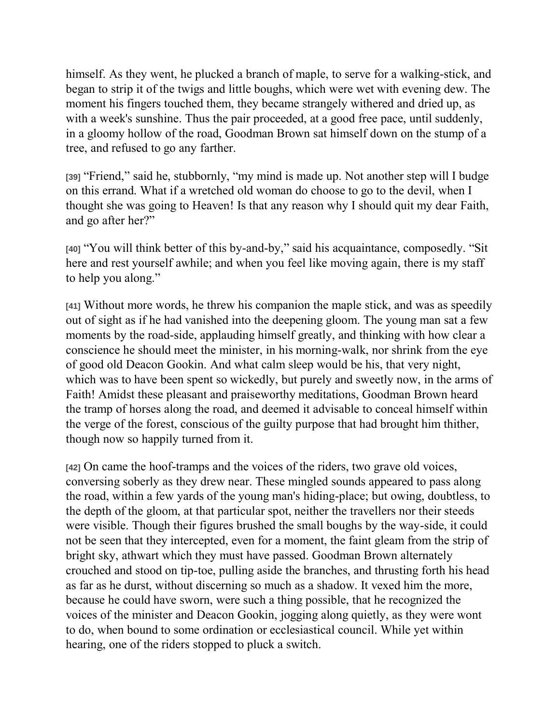himself. As they went, he plucked a branch of maple, to serve for a walking-stick, and began to strip it of the twigs and little boughs, which were wet with evening dew. The moment his fingers touched them, they became strangely withered and dried up, as with a week's sunshine. Thus the pair proceeded, at a good free pace, until suddenly, in a gloomy hollow of the road, Goodman Brown sat himself down on the stump of a tree, and refused to go any farther.

**[39]** "Friend," said he, stubbornly, "my mind is made up. Not another step will I budge on this errand. What if a wretched old woman do choose to go to the devil, when I thought she was going to Heaven! Is that any reason why I should quit my dear Faith, and go after her?"

**[40]** "You will think better of this by-and-by," said his acquaintance, composedly. "Sit here and rest yourself awhile; and when you feel like moving again, there is my staff to help you along."

**[41]** Without more words, he threw his companion the maple stick, and was as speedily out of sight as if he had vanished into the deepening gloom. The young man sat a few moments by the road-side, applauding himself greatly, and thinking with how clear a conscience he should meet the minister, in his morning-walk, nor shrink from the eye of good old Deacon Gookin. And what calm sleep would be his, that very night, which was to have been spent so wickedly, but purely and sweetly now, in the arms of Faith! Amidst these pleasant and praiseworthy meditations, Goodman Brown heard the tramp of horses along the road, and deemed it advisable to conceal himself within the verge of the forest, conscious of the guilty purpose that had brought him thither, though now so happily turned from it.

**[42]** On came the hoof-tramps and the voices of the riders, two grave old voices, conversing soberly as they drew near. These mingled sounds appeared to pass along the road, within a few yards of the young man's hiding-place; but owing, doubtless, to the depth of the gloom, at that particular spot, neither the travellers nor their steeds were visible. Though their figures brushed the small boughs by the way-side, it could not be seen that they intercepted, even for a moment, the faint gleam from the strip of bright sky, athwart which they must have passed. Goodman Brown alternately crouched and stood on tip-toe, pulling aside the branches, and thrusting forth his head as far as he durst, without discerning so much as a shadow. It vexed him the more, because he could have sworn, were such a thing possible, that he recognized the voices of the minister and Deacon Gookin, jogging along quietly, as they were wont to do, when bound to some ordination or ecclesiastical council. While yet within hearing, one of the riders stopped to pluck a switch.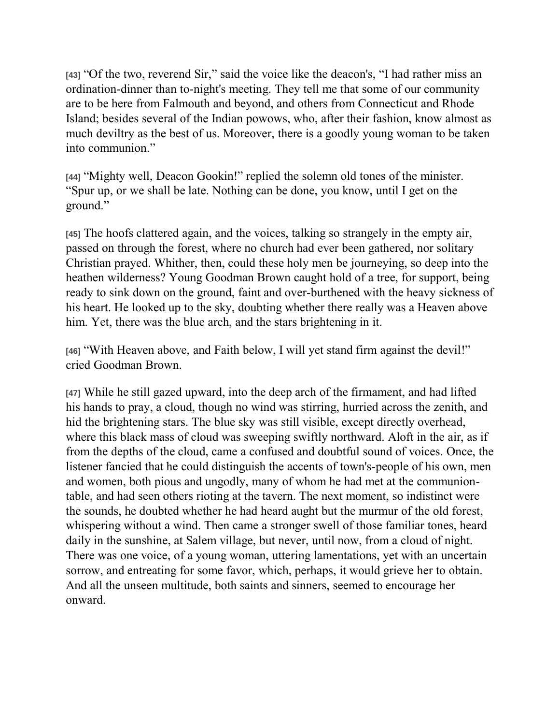**[43]** "Of the two, reverend Sir," said the voice like the deacon's, "I had rather miss an ordination-dinner than to-night's meeting. They tell me that some of our community are to be here from Falmouth and beyond, and others from Connecticut and Rhode Island; besides several of the Indian powows, who, after their fashion, know almost as much deviltry as the best of us. Moreover, there is a goodly young woman to be taken into communion."

**[44]** "Mighty well, Deacon Gookin!" replied the solemn old tones of the minister. "Spur up, or we shall be late. Nothing can be done, you know, until I get on the ground."

**[45]** The hoofs clattered again, and the voices, talking so strangely in the empty air, passed on through the forest, where no church had ever been gathered, nor solitary Christian prayed. Whither, then, could these holy men be journeying, so deep into the heathen wilderness? Young Goodman Brown caught hold of a tree, for support, being ready to sink down on the ground, faint and over-burthened with the heavy sickness of his heart. He looked up to the sky, doubting whether there really was a Heaven above him. Yet, there was the blue arch, and the stars brightening in it.

**[46]** "With Heaven above, and Faith below, I will yet stand firm against the devil!" cried Goodman Brown.

**[47]** While he still gazed upward, into the deep arch of the firmament, and had lifted his hands to pray, a cloud, though no wind was stirring, hurried across the zenith, and hid the brightening stars. The blue sky was still visible, except directly overhead, where this black mass of cloud was sweeping swiftly northward. Aloft in the air, as if from the depths of the cloud, came a confused and doubtful sound of voices. Once, the listener fancied that he could distinguish the accents of town's-people of his own, men and women, both pious and ungodly, many of whom he had met at the communiontable, and had seen others rioting at the tavern. The next moment, so indistinct were the sounds, he doubted whether he had heard aught but the murmur of the old forest, whispering without a wind. Then came a stronger swell of those familiar tones, heard daily in the sunshine, at Salem village, but never, until now, from a cloud of night. There was one voice, of a young woman, uttering lamentations, yet with an uncertain sorrow, and entreating for some favor, which, perhaps, it would grieve her to obtain. And all the unseen multitude, both saints and sinners, seemed to encourage her onward.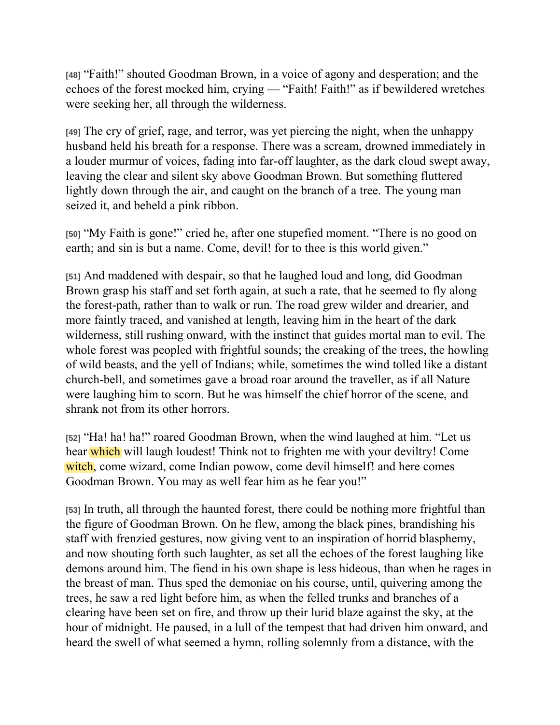**[48]** "Faith!" shouted Goodman Brown, in a voice of agony and desperation; and the echoes of the forest mocked him, crying — "Faith! Faith!" as if bewildered wretches were seeking her, all through the wilderness.

**[49]** The cry of grief, rage, and terror, was yet piercing the night, when the unhappy husband held his breath for a response. There was a scream, drowned immediately in a louder murmur of voices, fading into far-off laughter, as the dark cloud swept away, leaving the clear and silent sky above Goodman Brown. But something fluttered lightly down through the air, and caught on the branch of a tree. The young man seized it, and beheld a pink ribbon.

**[50]** "My Faith is gone!" cried he, after one stupefied moment. "There is no good on earth; and sin is but a name. Come, devil! for to thee is this world given."

**[51]** And maddened with despair, so that he laughed loud and long, did Goodman Brown grasp his staff and set forth again, at such a rate, that he seemed to fly along the forest-path, rather than to walk or run. The road grew wilder and drearier, and more faintly traced, and vanished at length, leaving him in the heart of the dark wilderness, still rushing onward, with the instinct that guides mortal man to evil. The whole forest was peopled with frightful sounds; the creaking of the trees, the howling of wild beasts, and the yell of Indians; while, sometimes the wind tolled like a distant church-bell, and sometimes gave a broad roar around the traveller, as if all Nature were laughing him to scorn. But he was himself the chief horror of the scene, and shrank not from its other horrors.

**[52]** "Ha! ha! ha!" roared Goodman Brown, when the wind laughed at him. "Let us hear which will laugh loudest! Think not to frighten me with your deviltry! Come witch, come wizard, come Indian powow, come devil himself! and here comes Goodman Brown. You may as well fear him as he fear you!"

**[53]** In truth, all through the haunted forest, there could be nothing more frightful than the figure of Goodman Brown. On he flew, among the black pines, brandishing his staff with frenzied gestures, now giving vent to an inspiration of horrid blasphemy, and now shouting forth such laughter, as set all the echoes of the forest laughing like demons around him. The fiend in his own shape is less hideous, than when he rages in the breast of man. Thus sped the demoniac on his course, until, quivering among the trees, he saw a red light before him, as when the felled trunks and branches of a clearing have been set on fire, and throw up their lurid blaze against the sky, at the hour of midnight. He paused, in a lull of the tempest that had driven him onward, and heard the swell of what seemed a hymn, rolling solemnly from a distance, with the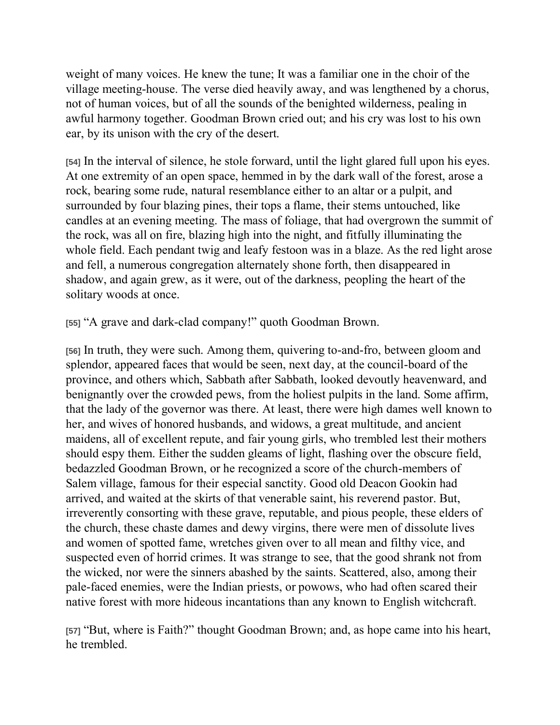weight of many voices. He knew the tune; It was a familiar one in the choir of the village meeting-house. The verse died heavily away, and was lengthened by a chorus, not of human voices, but of all the sounds of the benighted wilderness, pealing in awful harmony together. Goodman Brown cried out; and his cry was lost to his own ear, by its unison with the cry of the desert.

**[54]** In the interval of silence, he stole forward, until the light glared full upon his eyes. At one extremity of an open space, hemmed in by the dark wall of the forest, arose a rock, bearing some rude, natural resemblance either to an altar or a pulpit, and surrounded by four blazing pines, their tops a flame, their stems untouched, like candles at an evening meeting. The mass of foliage, that had overgrown the summit of the rock, was all on fire, blazing high into the night, and fitfully illuminating the whole field. Each pendant twig and leafy festoon was in a blaze. As the red light arose and fell, a numerous congregation alternately shone forth, then disappeared in shadow, and again grew, as it were, out of the darkness, peopling the heart of the solitary woods at once.

**[55]** "A grave and dark-clad company!" quoth Goodman Brown.

**[56]** In truth, they were such. Among them, quivering to-and-fro, between gloom and splendor, appeared faces that would be seen, next day, at the council-board of the province, and others which, Sabbath after Sabbath, looked devoutly heavenward, and benignantly over the crowded pews, from the holiest pulpits in the land. Some affirm, that the lady of the governor was there. At least, there were high dames well known to her, and wives of honored husbands, and widows, a great multitude, and ancient maidens, all of excellent repute, and fair young girls, who trembled lest their mothers should espy them. Either the sudden gleams of light, flashing over the obscure field, bedazzled Goodman Brown, or he recognized a score of the church-members of Salem village, famous for their especial sanctity. Good old Deacon Gookin had arrived, and waited at the skirts of that venerable saint, his reverend pastor. But, irreverently consorting with these grave, reputable, and pious people, these elders of the church, these chaste dames and dewy virgins, there were men of dissolute lives and women of spotted fame, wretches given over to all mean and filthy vice, and suspected even of horrid crimes. It was strange to see, that the good shrank not from the wicked, nor were the sinners abashed by the saints. Scattered, also, among their pale-faced enemies, were the Indian priests, or powows, who had often scared their native forest with more hideous incantations than any known to English witchcraft.

**[57]** "But, where is Faith?" thought Goodman Brown; and, as hope came into his heart, he trembled.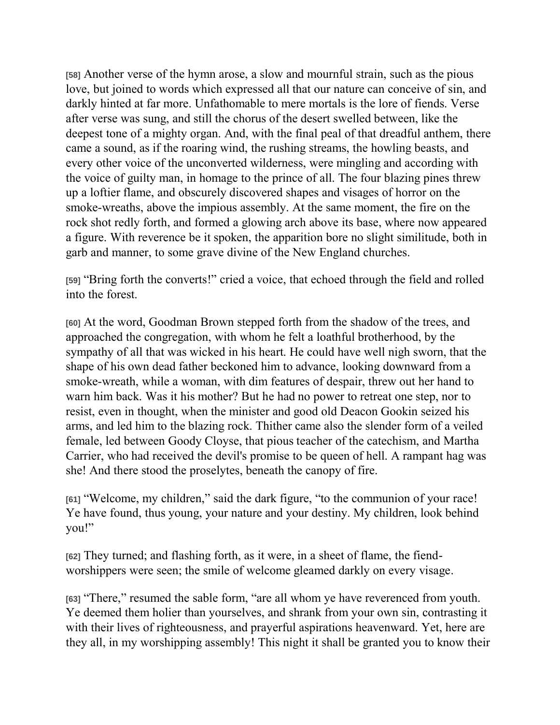**[58]** Another verse of the hymn arose, a slow and mournful strain, such as the pious love, but joined to words which expressed all that our nature can conceive of sin, and darkly hinted at far more. Unfathomable to mere mortals is the lore of fiends. Verse after verse was sung, and still the chorus of the desert swelled between, like the deepest tone of a mighty organ. And, with the final peal of that dreadful anthem, there came a sound, as if the roaring wind, the rushing streams, the howling beasts, and every other voice of the unconverted wilderness, were mingling and according with the voice of guilty man, in homage to the prince of all. The four blazing pines threw up a loftier flame, and obscurely discovered shapes and visages of horror on the smoke-wreaths, above the impious assembly. At the same moment, the fire on the rock shot redly forth, and formed a glowing arch above its base, where now appeared a figure. With reverence be it spoken, the apparition bore no slight similitude, both in garb and manner, to some grave divine of the New England churches.

**[59]** "Bring forth the converts!" cried a voice, that echoed through the field and rolled into the forest.

**[60]** At the word, Goodman Brown stepped forth from the shadow of the trees, and approached the congregation, with whom he felt a loathful brotherhood, by the sympathy of all that was wicked in his heart. He could have well nigh sworn, that the shape of his own dead father beckoned him to advance, looking downward from a smoke-wreath, while a woman, with dim features of despair, threw out her hand to warn him back. Was it his mother? But he had no power to retreat one step, nor to resist, even in thought, when the minister and good old Deacon Gookin seized his arms, and led him to the blazing rock. Thither came also the slender form of a veiled female, led between Goody Cloyse, that pious teacher of the catechism, and Martha Carrier, who had received the devil's promise to be queen of hell. A rampant hag was she! And there stood the proselytes, beneath the canopy of fire.

**[61]** "Welcome, my children," said the dark figure, "to the communion of your race! Ye have found, thus young, your nature and your destiny. My children, look behind you!"

**[62]** They turned; and flashing forth, as it were, in a sheet of flame, the fiendworshippers were seen; the smile of welcome gleamed darkly on every visage.

**[63]** "There," resumed the sable form, "are all whom ye have reverenced from youth. Ye deemed them holier than yourselves, and shrank from your own sin, contrasting it with their lives of righteousness, and prayerful aspirations heavenward. Yet, here are they all, in my worshipping assembly! This night it shall be granted you to know their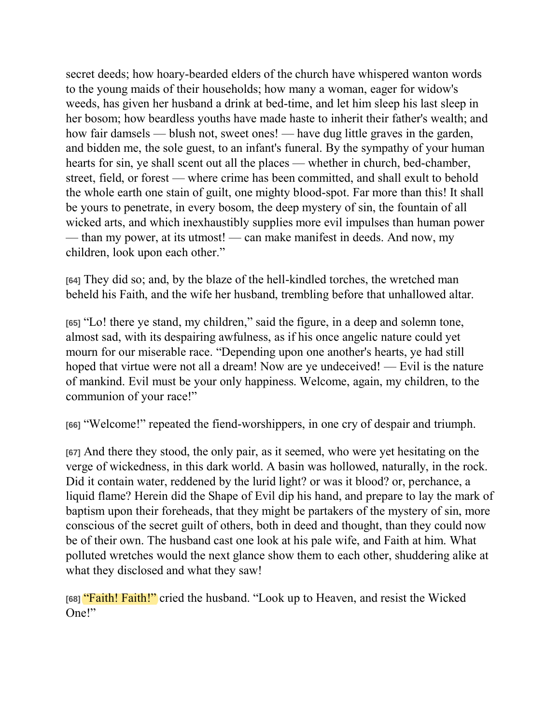secret deeds; how hoary-bearded elders of the church have whispered wanton words to the young maids of their households; how many a woman, eager for widow's weeds, has given her husband a drink at bed-time, and let him sleep his last sleep in her bosom; how beardless youths have made haste to inherit their father's wealth; and how fair damsels — blush not, sweet ones! — have dug little graves in the garden, and bidden me, the sole guest, to an infant's funeral. By the sympathy of your human hearts for sin, ye shall scent out all the places — whether in church, bed-chamber, street, field, or forest — where crime has been committed, and shall exult to behold the whole earth one stain of guilt, one mighty blood-spot. Far more than this! It shall be yours to penetrate, in every bosom, the deep mystery of sin, the fountain of all wicked arts, and which inexhaustibly supplies more evil impulses than human power — than my power, at its utmost! — can make manifest in deeds. And now, my children, look upon each other."

**[64]** They did so; and, by the blaze of the hell-kindled torches, the wretched man beheld his Faith, and the wife her husband, trembling before that unhallowed altar.

**[65]** "Lo! there ye stand, my children," said the figure, in a deep and solemn tone, almost sad, with its despairing awfulness, as if his once angelic nature could yet mourn for our miserable race. "Depending upon one another's hearts, ye had still hoped that virtue were not all a dream! Now are ye undeceived! — Evil is the nature of mankind. Evil must be your only happiness. Welcome, again, my children, to the communion of your race!"

**[66]** "Welcome!" repeated the fiend-worshippers, in one cry of despair and triumph.

**[67]** And there they stood, the only pair, as it seemed, who were yet hesitating on the verge of wickedness, in this dark world. A basin was hollowed, naturally, in the rock. Did it contain water, reddened by the lurid light? or was it blood? or, perchance, a liquid flame? Herein did the Shape of Evil dip his hand, and prepare to lay the mark of baptism upon their foreheads, that they might be partakers of the mystery of sin, more conscious of the secret guilt of others, both in deed and thought, than they could now be of their own. The husband cast one look at his pale wife, and Faith at him. What polluted wretches would the next glance show them to each other, shuddering alike at what they disclosed and what they saw!

**[68]** "Faith! Faith!" cried the husband. "Look up to Heaven, and resist the Wicked One!"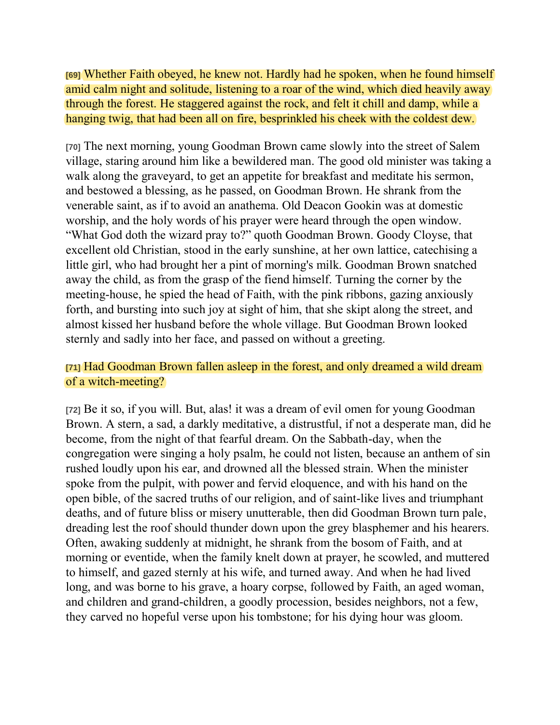**[69]** Whether Faith obeyed, he knew not. Hardly had he spoken, when he found himself amid calm night and solitude, listening to a roar of the wind, which died heavily away through the forest. He staggered against the rock, and felt it chill and damp, while a hanging twig, that had been all on fire, besprinkled his cheek with the coldest dew.

**[70]** The next morning, young Goodman Brown came slowly into the street of Salem village, staring around him like a bewildered man. The good old minister was taking a walk along the graveyard, to get an appetite for breakfast and meditate his sermon, and bestowed a blessing, as he passed, on Goodman Brown. He shrank from the venerable saint, as if to avoid an anathema. Old Deacon Gookin was at domestic worship, and the holy words of his prayer were heard through the open window. "What God doth the wizard pray to?" quoth Goodman Brown. Goody Cloyse, that excellent old Christian, stood in the early sunshine, at her own lattice, catechising a little girl, who had brought her a pint of morning's milk. Goodman Brown snatched away the child, as from the grasp of the fiend himself. Turning the corner by the meeting-house, he spied the head of Faith, with the pink ribbons, gazing anxiously forth, and bursting into such joy at sight of him, that she skipt along the street, and almost kissed her husband before the whole village. But Goodman Brown looked sternly and sadly into her face, and passed on without a greeting.

#### **[71]** Had Goodman Brown fallen asleep in the forest, and only dreamed a wild dream of a witch-meeting?

**[72]** Be it so, if you will. But, alas! it was a dream of evil omen for young Goodman Brown. A stern, a sad, a darkly meditative, a distrustful, if not a desperate man, did he become, from the night of that fearful dream. On the Sabbath-day, when the congregation were singing a holy psalm, he could not listen, because an anthem of sin rushed loudly upon his ear, and drowned all the blessed strain. When the minister spoke from the pulpit, with power and fervid eloquence, and with his hand on the open bible, of the sacred truths of our religion, and of saint-like lives and triumphant deaths, and of future bliss or misery unutterable, then did Goodman Brown turn pale, dreading lest the roof should thunder down upon the grey blasphemer and his hearers. Often, awaking suddenly at midnight, he shrank from the bosom of Faith, and at morning or eventide, when the family knelt down at prayer, he scowled, and muttered to himself, and gazed sternly at his wife, and turned away. And when he had lived long, and was borne to his grave, a hoary corpse, followed by Faith, an aged woman, and children and grand-children, a goodly procession, besides neighbors, not a few, they carved no hopeful verse upon his tombstone; for his dying hour was gloom.